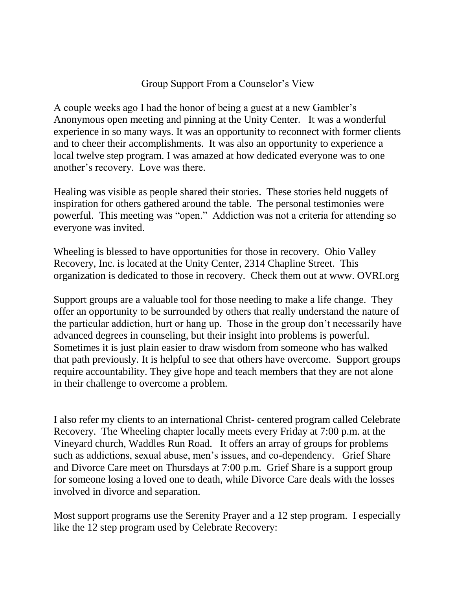## Group Support From a Counselor's View

A couple weeks ago I had the honor of being a guest at a new Gambler's Anonymous open meeting and pinning at the Unity Center. It was a wonderful experience in so many ways. It was an opportunity to reconnect with former clients and to cheer their accomplishments. It was also an opportunity to experience a local twelve step program. I was amazed at how dedicated everyone was to one another's recovery. Love was there.

Healing was visible as people shared their stories. These stories held nuggets of inspiration for others gathered around the table. The personal testimonies were powerful. This meeting was "open." Addiction was not a criteria for attending so everyone was invited.

Wheeling is blessed to have opportunities for those in recovery. Ohio Valley Recovery, Inc. is located at the Unity Center, 2314 Chapline Street. This organization is dedicated to those in recovery. Check them out at www. OVRI.org

Support groups are a valuable tool for those needing to make a life change. They offer an opportunity to be surrounded by others that really understand the nature of the particular addiction, hurt or hang up. Those in the group don't necessarily have advanced degrees in counseling, but their insight into problems is powerful. Sometimes it is just plain easier to draw wisdom from someone who has walked that path previously. It is helpful to see that others have overcome. Support groups require accountability. They give hope and teach members that they are not alone in their challenge to overcome a problem.

I also refer my clients to an international Christ- centered program called Celebrate Recovery. The Wheeling chapter locally meets every Friday at 7:00 p.m. at the Vineyard church, Waddles Run Road. It offers an array of groups for problems such as addictions, sexual abuse, men's issues, and co-dependency. Grief Share and Divorce Care meet on Thursdays at 7:00 p.m. Grief Share is a support group for someone losing a loved one to death, while Divorce Care deals with the losses involved in divorce and separation.

Most support programs use the Serenity Prayer and a 12 step program. I especially like the 12 step program used by Celebrate Recovery: